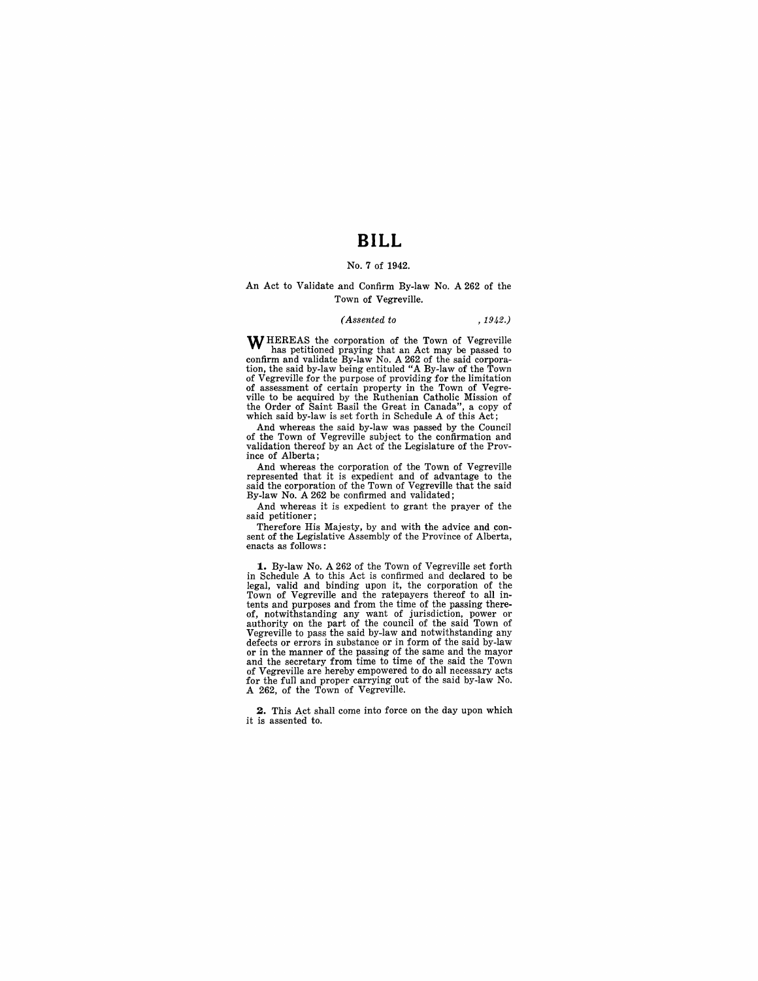## **BILL**

### No.7 of 1942.

#### An Act to Validate and Confirm By-law No. A 262 of the Town of Vegreville.

#### *( Assented to* ,1942.)

WHEREAS the corporation of the Town of Vegreville has petitioned praying that an Act may be passed to confirm and validate By-law No. A 262 of the said corpora-tion, the said by-law being entituled "A By-law of the Town of Vegreville for the purpose of providing for the limitation of assessment of certain property in the Town of Vegre-<br>ville to be acquired by the Ruthenian Catholic Mission of<br>the Order of Saint Basil the Great in Canada", a copy of<br>which said by-law is set forth in Schedule A of thi

And whereas the said by-law was passed by the Council of the Town of Vegreville subject to the confirmation and validation thereof by an Act of the Legislature of the Province of Alberta;

And whereas the corporation of the Town of Vegreville represented that it is expedient and of advantage to the said the corporation of the Town of Vegreville that the said By-law No. A 262 be confirmed and validated;

And whereas it is expedient to grant the prayer of the said petitioner;

Therefore His Majesty, by and with the advice and consent of the Legislative Assembly of the Province of Alberta, enacts as follows:

**1.** By-law No. A 262 of the Town of Vegreville set forth in Schedule A to this Act is confirmed and declared to be legal, valid and binding upon it, the corporation of the Town of Vegreville and the ratepayers thereof to all in-tents and purposes and from the time of the passing thereof, notwithstanding any want of jurisdiction, power or authority on the part of the council of the said Town of Vegreville to pass the said by-law and notwithstanding any defects or errors in substance or in form of the said by-law or in the manner of the passing of the same and the mayor and the secretary from time to time of the said the Town of Vegreville are hereby empowered to do all necessary acts for the full and proper carrying out of the said by-law No. A 262, of the Town of Vegreville.

**2.** This Act shall come into force on the day upon which it is assented to.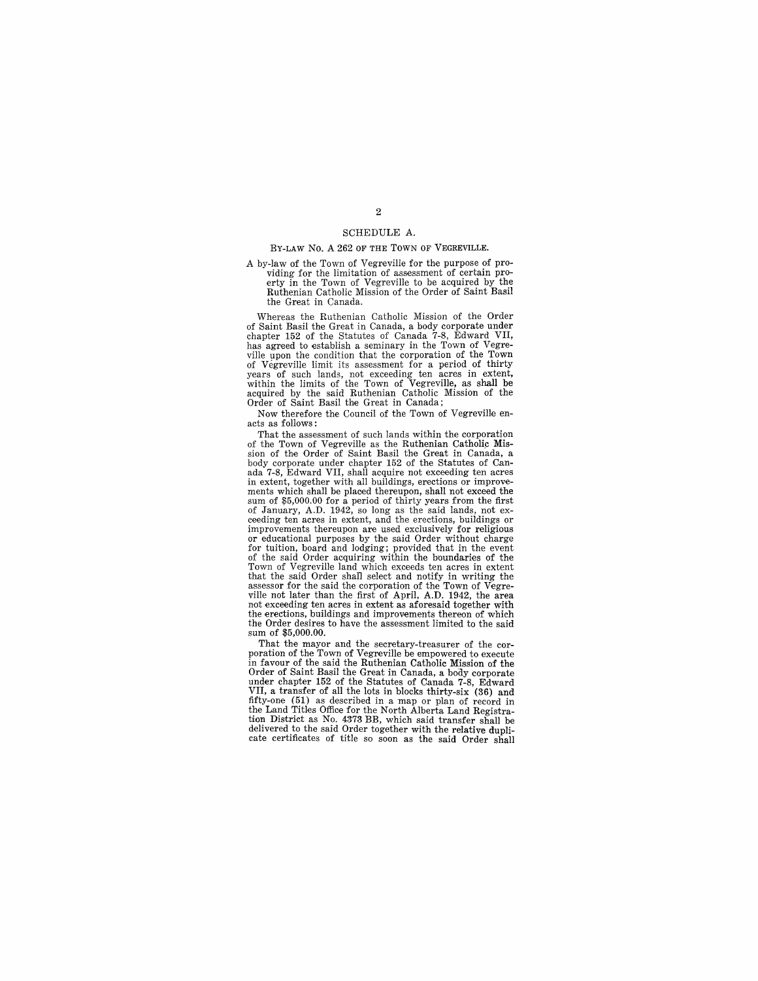#### SCHEDULE A.

## BY-LAW No. A 262 OF THE TOWN OF VEGREVILLE.

A by-law of the Town of Vegreville for the purpose of providing for the limitation of assessment of certain proerty in the Town of Vegreville to be acquired by the Ruthenian Catholic Mission of the Order of Saint Basil the Great in Canada.

Whereas the Ruthenian Catholic Mission of the Order of Saint Basil the Great in Canada, a body corporate under chapter 152 of the Statutes of Canada 7-8, Edward VII, has agreed to establish a seminary in the Town of Vegreville upon the condition that the corporation of the Town<br>of Vegreville limit its assessment for a period of thirty<br>years of such lands, not exceeding ten acres in extent,<br>within the limits of the Town of Vegreville, as sh acquired by the said Ruthenian Catholic Mission of the Order of Saint Basil the Great in Canada;

Now therefore the Council of the Town of Vegreville enacts as follows:

That the assessment of such lands within the corporation<br>of the Town of Vegreville as the Ruthenian Catholic Mis-<br>sion of the Order of Saint Basil the Great in Canada, a<br>body corporate under chapter 152 of the Statutes of ada 7-8, Edward VII, shall acquire not exceeding ten acres in extent, together with all buildings, erections or improve-<br>ments which shall be placed thereupon, shall not exceed the sum of \$5,000.00 for a period of thirty years from the first<br>of January, A.D. 1942, so long as the said lands, not exceeding ten acres in extent, and the erections, buildings or improvements thereupon are used exclusively for religious improvements thereupon are used exclusively for religious<br>or educational purposes by the said Order without charge<br>for tuition, board and lodging; provided that in the event<br>of the said Order acquiring within the boundarie that the said Order shall select and notify in writing the assessor for the said the corporation of the Town of Vegre-<br>ville not later than the first of April, A.D. 1942, the area not exceeding ten acres in extent as aforesaid together with the erections, buildings and improvements thereon of which the Order desires to have the assessment limited to the said sum of \$5,000.00.

That the mayor and the secretary-treasurer of the cor- poration of the Town of Vegreville be empowered to execute in favour of the said the Ruthenian Catholic Mission of the Order of Saint Basil the Great in Canada, a body corporate under chapter 152 of the Statutes of Canada 7-8, Edward VII, a transfer of all the lots in blocks thirty-six (36) and fifty-one (51) as described in a map or plan of record in the Land Titles Office for the North Alberta Land Registration District as No. 4373 BB, which said transfer shall be delivered to the said Order together with the relative duplicate certificates of title so soon as the said Order shall

## 2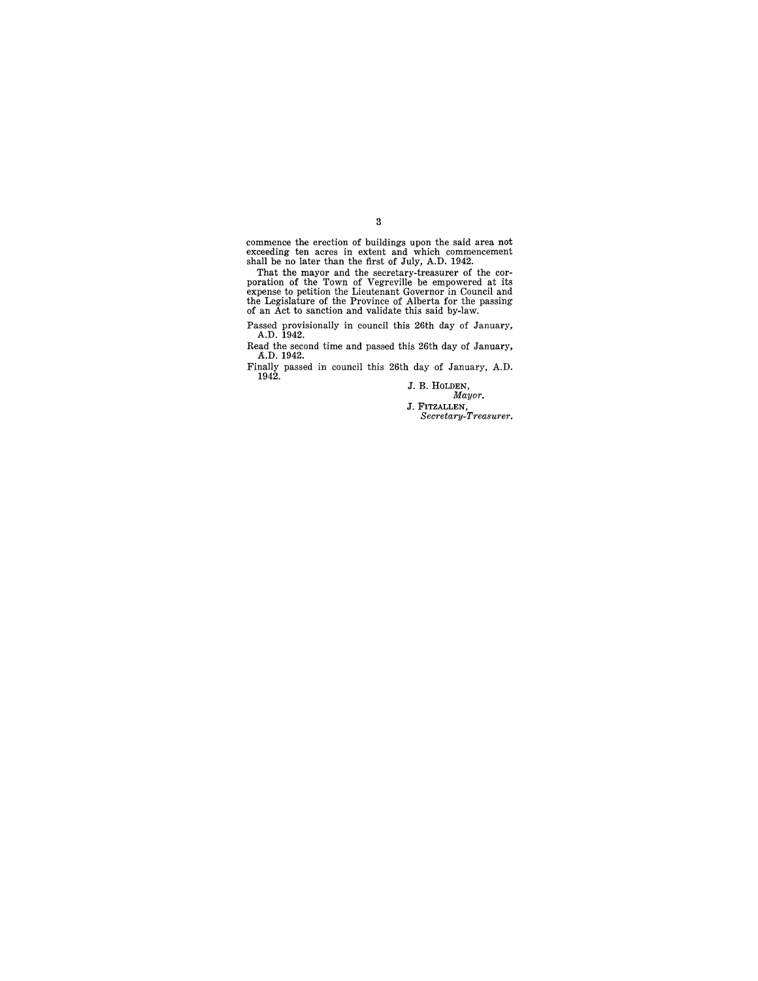commence the erection of buildings upon the said area not exceeding ten acres in extent and which commencement shall be no later than the first of July, A.D. 1942.

That the mayor and the secretary-treasurer of the cor-<br>poration of the Town of Vegreville be empowered at its<br>expense to petition the Lieutenant Governor in Council and<br>the Legislature of the Province of Alberta for the pa

Passed provisionally in council this 26th day of January, A.D. 1942.

Read the second time and passed this 26th day of January, A.D. 1942.

Finally passed in council this 26th day of January, A.D. 1942.

J. B. HOLDEN, *Mayor.* 

J. FITZALLEN, *Secretary-Treasurer.* 

3